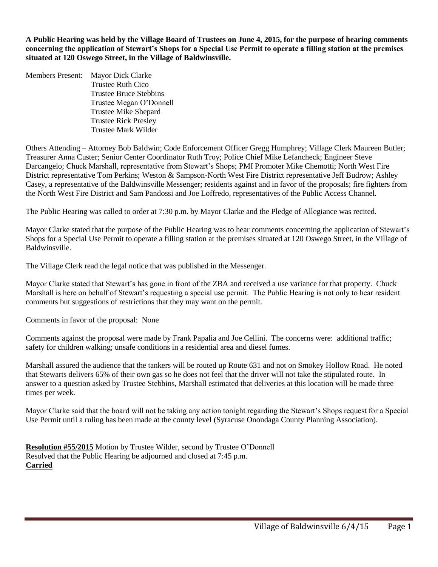**A Public Hearing was held by the Village Board of Trustees on June 4, 2015, for the purpose of hearing comments concerning the application of Stewart's Shops for a Special Use Permit to operate a filling station at the premises situated at 120 Oswego Street, in the Village of Baldwinsville.**

Members Present: Mayor Dick Clarke Trustee Ruth Cico Trustee Bruce Stebbins Trustee Megan O'Donnell Trustee Mike Shepard Trustee Rick Presley Trustee Mark Wilder

Others Attending – Attorney Bob Baldwin; Code Enforcement Officer Gregg Humphrey; Village Clerk Maureen Butler; Treasurer Anna Custer; Senior Center Coordinator Ruth Troy; Police Chief Mike Lefancheck; Engineer Steve Darcangelo; Chuck Marshall, representative from Stewart's Shops; PMI Promoter Mike Chemotti; North West Fire District representative Tom Perkins; Weston & Sampson-North West Fire District representative Jeff Budrow; Ashley Casey, a representative of the Baldwinsville Messenger; residents against and in favor of the proposals; fire fighters from the North West Fire District and Sam Pandossi and Joe Loffredo, representatives of the Public Access Channel.

The Public Hearing was called to order at 7:30 p.m. by Mayor Clarke and the Pledge of Allegiance was recited.

Mayor Clarke stated that the purpose of the Public Hearing was to hear comments concerning the application of Stewart's Shops for a Special Use Permit to operate a filling station at the premises situated at 120 Oswego Street, in the Village of Baldwinsville.

The Village Clerk read the legal notice that was published in the Messenger.

Mayor Clarke stated that Stewart's has gone in front of the ZBA and received a use variance for that property. Chuck Marshall is here on behalf of Stewart's requesting a special use permit. The Public Hearing is not only to hear resident comments but suggestions of restrictions that they may want on the permit.

Comments in favor of the proposal: None

Comments against the proposal were made by Frank Papalia and Joe Cellini. The concerns were: additional traffic; safety for children walking; unsafe conditions in a residential area and diesel fumes.

Marshall assured the audience that the tankers will be routed up Route 631 and not on Smokey Hollow Road. He noted that Stewarts delivers 65% of their own gas so he does not feel that the driver will not take the stipulated route. In answer to a question asked by Trustee Stebbins, Marshall estimated that deliveries at this location will be made three times per week.

Mayor Clarke said that the board will not be taking any action tonight regarding the Stewart's Shops request for a Special Use Permit until a ruling has been made at the county level (Syracuse Onondaga County Planning Association).

**Resolution #55/2015** Motion by Trustee Wilder, second by Trustee O'Donnell Resolved that the Public Hearing be adjourned and closed at 7:45 p.m. **Carried**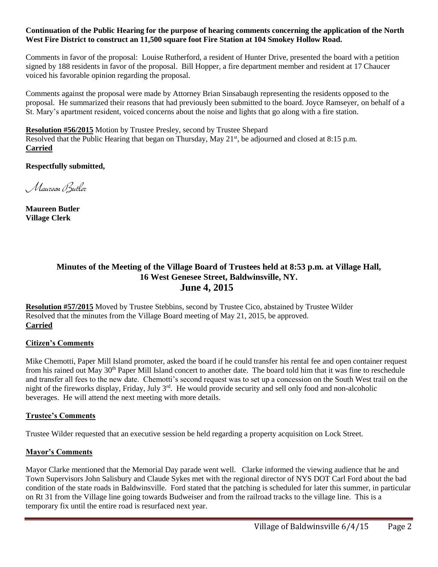#### **Continuation of the Public Hearing for the purpose of hearing comments concerning the application of the North West Fire District to construct an 11,500 square foot Fire Station at 104 Smokey Hollow Road.**

Comments in favor of the proposal: Louise Rutherford, a resident of Hunter Drive, presented the board with a petition signed by 188 residents in favor of the proposal. Bill Hopper, a fire department member and resident at 17 Chaucer voiced his favorable opinion regarding the proposal.

Comments against the proposal were made by Attorney Brian Sinsabaugh representing the residents opposed to the proposal. He summarized their reasons that had previously been submitted to the board. Joyce Ramseyer, on behalf of a St. Mary's apartment resident, voiced concerns about the noise and lights that go along with a fire station.

**Resolution #56/2015** Motion by Trustee Presley, second by Trustee Shepard Resolved that the Public Hearing that began on Thursday, May 21<sup>st</sup>, be adjourned and closed at 8:15 p.m. **Carried**

**Respectfully submitted,**

Maureen Butler

**Maureen Butler Village Clerk**

# **Minutes of the Meeting of the Village Board of Trustees held at 8:53 p.m. at Village Hall, 16 West Genesee Street, Baldwinsville, NY. June 4, 2015**

**Resolution #57/2015** Moved by Trustee Stebbins, second by Trustee Cico, abstained by Trustee Wilder Resolved that the minutes from the Village Board meeting of May 21, 2015, be approved. **Carried**

#### **Citizen's Comments**

Mike Chemotti, Paper Mill Island promoter, asked the board if he could transfer his rental fee and open container request from his rained out May 30<sup>th</sup> Paper Mill Island concert to another date. The board told him that it was fine to reschedule and transfer all fees to the new date. Chemotti's second request was to set up a concession on the South West trail on the night of the fireworks display, Friday, July 3rd. He would provide security and sell only food and non-alcoholic beverages. He will attend the next meeting with more details.

#### **Trustee's Comments**

Trustee Wilder requested that an executive session be held regarding a property acquisition on Lock Street.

#### **Mayor's Comments**

Mayor Clarke mentioned that the Memorial Day parade went well. Clarke informed the viewing audience that he and Town Supervisors John Salisbury and Claude Sykes met with the regional director of NYS DOT Carl Ford about the bad condition of the state roads in Baldwinsville. Ford stated that the patching is scheduled for later this summer, in particular on Rt 31 from the Village line going towards Budweiser and from the railroad tracks to the village line. This is a temporary fix until the entire road is resurfaced next year.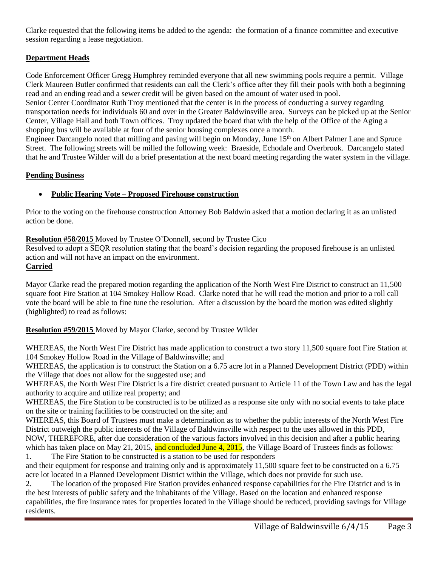Clarke requested that the following items be added to the agenda: the formation of a finance committee and executive session regarding a lease negotiation.

# **Department Heads**

Code Enforcement Officer Gregg Humphrey reminded everyone that all new swimming pools require a permit. Village Clerk Maureen Butler confirmed that residents can call the Clerk's office after they fill their pools with both a beginning read and an ending read and a sewer credit will be given based on the amount of water used in pool.

Senior Center Coordinator Ruth Troy mentioned that the center is in the process of conducting a survey regarding transportation needs for individuals 60 and over in the Greater Baldwinsville area. Surveys can be picked up at the Senior Center, Village Hall and both Town offices. Troy updated the board that with the help of the Office of the Aging a shopping bus will be available at four of the senior housing complexes once a month.

Engineer Darcangelo noted that milling and paving will begin on Monday, June 15<sup>th</sup> on Albert Palmer Lane and Spruce Street. The following streets will be milled the following week: Braeside, Echodale and Overbrook. Darcangelo stated that he and Trustee Wilder will do a brief presentation at the next board meeting regarding the water system in the village.

#### **Pending Business**

# **Public Hearing Vote – Proposed Firehouse construction**

Prior to the voting on the firehouse construction Attorney Bob Baldwin asked that a motion declaring it as an unlisted action be done.

#### **Resolution #58/2015** Moved by Trustee O'Donnell, second by Trustee Cico

Resolved to adopt a SEQR resolution stating that the board's decision regarding the proposed firehouse is an unlisted action and will not have an impact on the environment.

#### **Carried**

Mayor Clarke read the prepared motion regarding the application of the North West Fire District to construct an 11,500 square foot Fire Station at 104 Smokey Hollow Road. Clarke noted that he will read the motion and prior to a roll call vote the board will be able to fine tune the resolution. After a discussion by the board the motion was edited slightly (highlighted) to read as follows:

# **Resolution #59/2015** Moved by Mayor Clarke, second by Trustee Wilder

WHEREAS, the North West Fire District has made application to construct a two story 11,500 square foot Fire Station at 104 Smokey Hollow Road in the Village of Baldwinsville; and

WHEREAS, the application is to construct the Station on a 6.75 acre lot in a Planned Development District (PDD) within the Village that does not allow for the suggested use; and

WHEREAS, the North West Fire District is a fire district created pursuant to Article 11 of the Town Law and has the legal authority to acquire and utilize real property; and

WHEREAS, the Fire Station to be constructed is to be utilized as a response site only with no social events to take place on the site or training facilities to be constructed on the site; and

WHEREAS, this Board of Trustees must make a determination as to whether the public interests of the North West Fire District outweigh the public interests of the Village of Baldwinsville with respect to the uses allowed in this PDD, NOW, THEREFORE, after due consideration of the various factors involved in this decision and after a public hearing which has taken place on May 21, 2015, and concluded June 4, 2015, the Village Board of Trustees finds as follows: 1. The Fire Station to be constructed is a station to be used for responders

and their equipment for response and training only and is approximately 11,500 square feet to be constructed on a 6.75 acre lot located in a Planned Development District within the Village, which does not provide for such use.

2. The location of the proposed Fire Station provides enhanced response capabilities for the Fire District and is in the best interests of public safety and the inhabitants of the Village. Based on the location and enhanced response capabilities, the fire insurance rates for properties located in the Village should be reduced, providing savings for Village residents.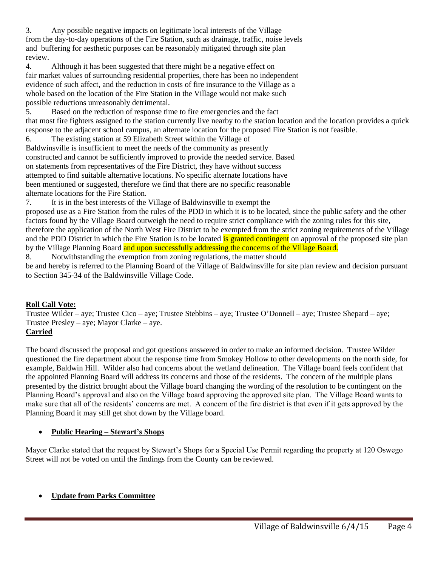3. Any possible negative impacts on legitimate local interests of the Village from the day-to-day operations of the Fire Station, such as drainage, traffic, noise levels and buffering for aesthetic purposes can be reasonably mitigated through site plan review.

4. Although it has been suggested that there might be a negative effect on fair market values of surrounding residential properties, there has been no independent evidence of such affect, and the reduction in costs of fire insurance to the Village as a whole based on the location of the Fire Station in the Village would not make such possible reductions unreasonably detrimental.

5. Based on the reduction of response time to fire emergencies and the fact that most fire fighters assigned to the station currently live nearby to the station location and the location provides a quick response to the adjacent school campus, an alternate location for the proposed Fire Station is not feasible.

6. The existing station at 59 Elizabeth Street within the Village of Baldwinsville is insufficient to meet the needs of the community as presently constructed and cannot be sufficiently improved to provide the needed service. Based on statements from representatives of the Fire District, they have without success attempted to find suitable alternative locations. No specific alternate locations have been mentioned or suggested, therefore we find that there are no specific reasonable alternate locations for the Fire Station.

7. It is in the best interests of the Village of Baldwinsville to exempt the

proposed use as a Fire Station from the rules of the PDD in which it is to be located, since the public safety and the other factors found by the Village Board outweigh the need to require strict compliance with the zoning rules for this site, therefore the application of the North West Fire District to be exempted from the strict zoning requirements of the Village and the PDD District in which the Fire Station is to be located is granted contingent on approval of the proposed site plan by the Village Planning Board and upon successfully addressing the concerns of the Village Board.

8. Notwithstanding the exemption from zoning regulations, the matter should be and hereby is referred to the Planning Board of the Village of Baldwinsville for site plan review and decision pursuant to Section 345-34 of the Baldwinsville Village Code.

# **Roll Call Vote:**

Trustee Wilder – aye; Trustee Cico – aye; Trustee Stebbins – aye; Trustee O'Donnell – aye; Trustee Shepard – aye; Trustee Presley – aye; Mayor Clarke – aye.

# **Carried**

The board discussed the proposal and got questions answered in order to make an informed decision. Trustee Wilder questioned the fire department about the response time from Smokey Hollow to other developments on the north side, for example, Baldwin Hill. Wilder also had concerns about the wetland delineation. The Village board feels confident that the appointed Planning Board will address its concerns and those of the residents. The concern of the multiple plans presented by the district brought about the Village board changing the wording of the resolution to be contingent on the Planning Board's approval and also on the Village board approving the approved site plan. The Village Board wants to make sure that all of the residents' concerns are met. A concern of the fire district is that even if it gets approved by the Planning Board it may still get shot down by the Village board.

# **Public Hearing – Stewart's Shops**

Mayor Clarke stated that the request by Stewart's Shops for a Special Use Permit regarding the property at 120 Oswego Street will not be voted on until the findings from the County can be reviewed.

# **Update from Parks Committee**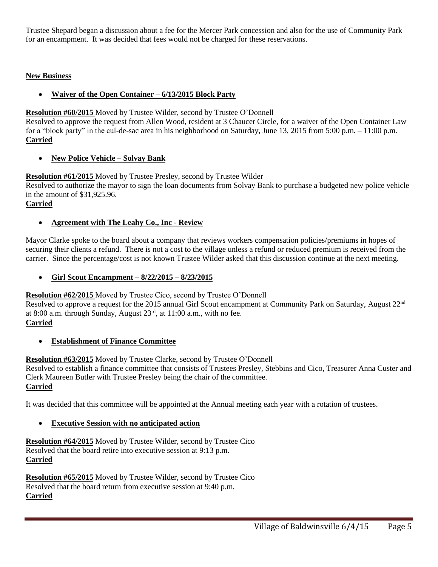Trustee Shepard began a discussion about a fee for the Mercer Park concession and also for the use of Community Park for an encampment. It was decided that fees would not be charged for these reservations.

# **New Business**

# **Waiver of the Open Container – 6/13/2015 Block Party**

#### **Resolution #60/2015** Moved by Trustee Wilder, second by Trustee O'Donnell

Resolved to approve the request from Allen Wood, resident at 3 Chaucer Circle, for a waiver of the Open Container Law for a "block party" in the cul-de-sac area in his neighborhood on Saturday, June 13, 2015 from 5:00 p.m. – 11:00 p.m. **Carried**

# **New Police Vehicle – Solvay Bank**

# **Resolution #61/2015** Moved by Trustee Presley, second by Trustee Wilder

Resolved to authorize the mayor to sign the loan documents from Solvay Bank to purchase a budgeted new police vehicle in the amount of \$31,925.96.

**Carried**

#### **Agreement with The Leahy Co., Inc - Review**

Mayor Clarke spoke to the board about a company that reviews workers compensation policies/premiums in hopes of securing their clients a refund. There is not a cost to the village unless a refund or reduced premium is received from the carrier. Since the percentage/cost is not known Trustee Wilder asked that this discussion continue at the next meeting.

#### **Girl Scout Encampment – 8/22/2015 – 8/23/2015**

**Resolution #62/2015** Moved by Trustee Cico, second by Trustee O'Donnell

Resolved to approve a request for the 2015 annual Girl Scout encampment at Community Park on Saturday, August 22<sup>nd</sup> at 8:00 a.m. through Sunday, August  $23<sup>rd</sup>$ , at 11:00 a.m., with no fee. **Carried**

# **Establishment of Finance Committee**

#### **Resolution #63/2015** Moved by Trustee Clarke, second by Trustee O'Donnell

Resolved to establish a finance committee that consists of Trustees Presley, Stebbins and Cico, Treasurer Anna Custer and Clerk Maureen Butler with Trustee Presley being the chair of the committee. **Carried**

It was decided that this committee will be appointed at the Annual meeting each year with a rotation of trustees.

# **Executive Session with no anticipated action**

**Resolution #64/2015** Moved by Trustee Wilder, second by Trustee Cico Resolved that the board retire into executive session at 9:13 p.m. **Carried**

**Resolution #65/2015** Moved by Trustee Wilder, second by Trustee Cico Resolved that the board return from executive session at 9:40 p.m. **Carried**